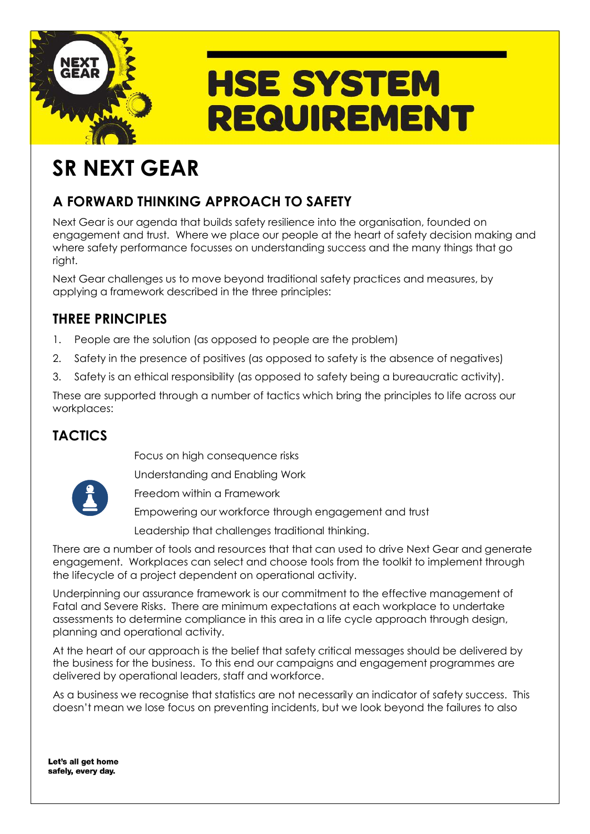

# **HSE SYSTEM REQUIREMENT**

## **SR NEXT GEAR**

## **A FORWARD THINKING APPROACH TO SAFETY**

Next Gear is our agenda that builds safety resilience into the organisation, founded on engagement and trust. Where we place our people at the heart of safety decision making and where safety performance focusses on understanding success and the many things that go right.

Next Gear challenges us to move beyond traditional safety practices and measures, by applying a framework described in the three principles:

## **THREE PRINCIPLES**

- 1. People are the solution (as opposed to people are the problem)
- 2. Safety in the presence of positives (as opposed to safety is the absence of negatives)
- 3. Safety is an ethical responsibility (as opposed to safety being a bureaucratic activity).

These are supported through a number of tactics which bring the principles to life across our workplaces:

## **TACTICS**

Focus on high consequence risks

Understanding and Enabling Work



Freedom within a Framework

Empowering our workforce through engagement and trust

Leadership that challenges traditional thinking.

There are a number of tools and resources that that can used to drive Next Gear and generate engagement. Workplaces can select and choose tools from the toolkit to implement through the lifecycle of a project dependent on operational activity.

Underpinning our assurance framework is our commitment to the effective management of Fatal and Severe Risks. There are minimum expectations at each workplace to undertake assessments to determine compliance in this area in a life cycle approach through design, planning and operational activity.

At the heart of our approach is the belief that safety critical messages should be delivered by the business for the business. To this end our campaigns and engagement programmes are delivered by operational leaders, staff and workforce.

As a business we recognise that statistics are not necessarily an indicator of safety success. This doesn't mean we lose focus on preventing incidents, but we look beyond the failures to also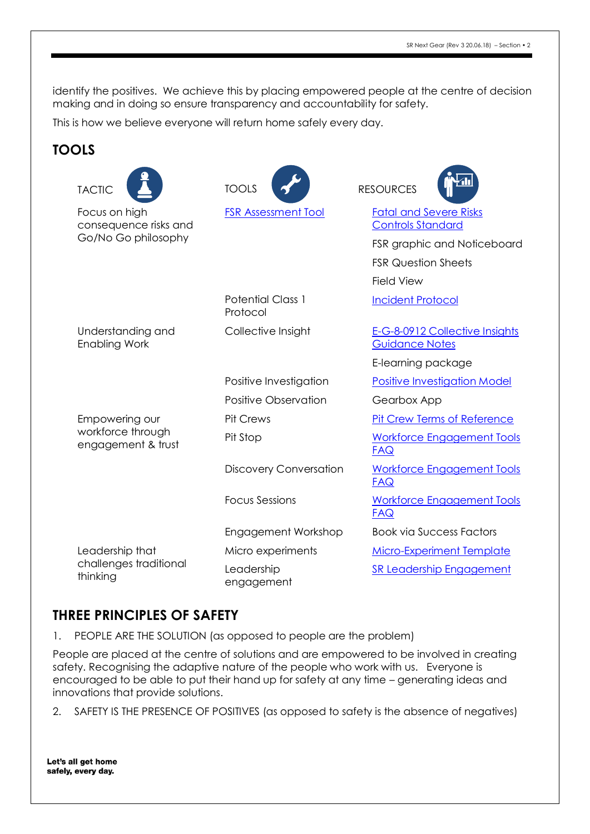identify the positives. We achieve this by placing empowered people at the centre of decision making and in doing so ensure transparency and accountability for safety.

This is how we believe everyone will return home safely every day.

### **TOOLS**

| <b>TACTIC</b>                                                 | <b>TOOLS</b>                         | <b>RESOURCES</b>                                          |
|---------------------------------------------------------------|--------------------------------------|-----------------------------------------------------------|
| Focus on high<br>consequence risks and<br>Go/No Go philosophy | <b>FSR Assessment Tool</b>           | <b>Fatal and Severe Risks</b><br><b>Controls Standard</b> |
|                                                               |                                      | FSR graphic and Noticeboard                               |
|                                                               |                                      | <b>FSR Question Sheets</b>                                |
|                                                               |                                      | <b>Field View</b>                                         |
|                                                               | <b>Potential Class 1</b><br>Protocol | <b>Incident Protocol</b>                                  |
| Understanding and<br><b>Enabling Work</b>                     | Collective Insight                   | E-G-8-0912 Collective Insights<br><b>Guidance Notes</b>   |
|                                                               |                                      | E-learning package                                        |
|                                                               | Positive Investigation               | <b>Positive Investigation Model</b>                       |
|                                                               | <b>Positive Observation</b>          | Gearbox App                                               |
| Empowering our<br>workforce through<br>engagement & trust     | <b>Pit Crews</b>                     | <b>Pit Crew Terms of Reference</b>                        |
|                                                               | Pit Stop                             | <b>Workforce Engagement Tools</b><br><b>FAQ</b>           |
|                                                               | <b>Discovery Conversation</b>        | <b>Workforce Engagement Tools</b><br><b>FAQ</b>           |
|                                                               | <b>Focus Sessions</b>                | <b>Workforce Engagement Tools</b><br><b>FAQ</b>           |
|                                                               | Engagement Workshop                  | <b>Book via Success Factors</b>                           |
| Leadership that<br>challenges traditional<br>thinking         | Micro experiments                    | <b>Micro-Experiment Template</b>                          |
|                                                               | Leadership<br>engagement             | <b>SR Leadership Engagement</b>                           |

#### **THREE PRINCIPLES OF SAFETY**

1. PEOPLE ARE THE SOLUTION (as opposed to people are the problem)

People are placed at the centre of solutions and are empowered to be involved in creating safety. Recognising the adaptive nature of the people who work with us. Everyone is encouraged to be able to put their hand up for safety at any time – generating ideas and innovations that provide solutions.

2. SAFETY IS THE PRESENCE OF POSITIVES (as opposed to safety is the absence of negatives)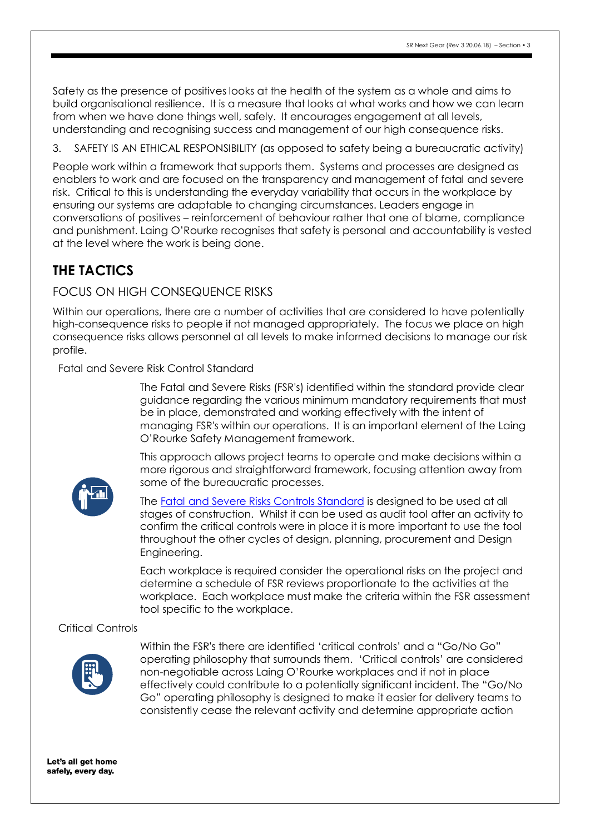Safety as the presence of positives looks at the health of the system as a whole and aims to build organisational resilience. It is a measure that looks at what works and how we can learn from when we have done things well, safely. It encourages engagement at all levels, understanding and recognising success and management of our high consequence risks.

3. SAFETY IS AN ETHICAL RESPONSIBILITY (as opposed to safety being a bureaucratic activity)

People work within a framework that supports them. Systems and processes are designed as enablers to work and are focused on the transparency and management of fatal and severe risk. Critical to this is understanding the everyday variability that occurs in the workplace by ensuring our systems are adaptable to changing circumstances. Leaders engage in conversations of positives – reinforcement of behaviour rather that one of blame, compliance and punishment. Laing O'Rourke recognises that safety is personal and accountability is vested at the level where the work is being done.

## **THE TACTICS**

#### FOCUS ON HIGH CONSEQUENCE RISKS

Within our operations, there are a number of activities that are considered to have potentially high-consequence risks to people if not managed appropriately. The focus we place on high consequence risks allows personnel at all levels to make informed decisions to manage our risk profile.

Fatal and Severe Risk Control Standard

The Fatal and Severe Risks (FSR's) identified within the standard provide clear guidance regarding the various minimum mandatory requirements that must be in place, demonstrated and working effectively with the intent of managing FSR's within our operations. It is an important element of the Laing O'Rourke Safety Management framework.

This approach allows project teams to operate and make decisions within a more rigorous and straightforward framework, focusing attention away from some of the bureaucratic processes.



The [Fatal and Severe Risks Controls Standard](https://www.nextgearsms.com/wp-content/uploads/Fatal-and-Severe-Risks-Controls-Standard.pdf) is designed to be used at all stages of construction. Whilst it can be used as audit tool after an activity to confirm the critical controls were in place it is more important to use the tool throughout the other cycles of design, planning, procurement and Design Engineering.

Each workplace is required consider the operational risks on the project and determine a schedule of FSR reviews proportionate to the activities at the workplace. Each workplace must make the criteria within the FSR assessment tool specific to the workplace.

#### Critical Controls



Within the FSR's there are identified 'critical controls' and a "Go/No Go" operating philosophy that surrounds them. 'Critical controls' are considered non-negotiable across Laing O'Rourke workplaces and if not in place effectively could contribute to a potentially significant incident. The "Go/No Go" operating philosophy is designed to make it easier for delivery teams to consistently cease the relevant activity and determine appropriate action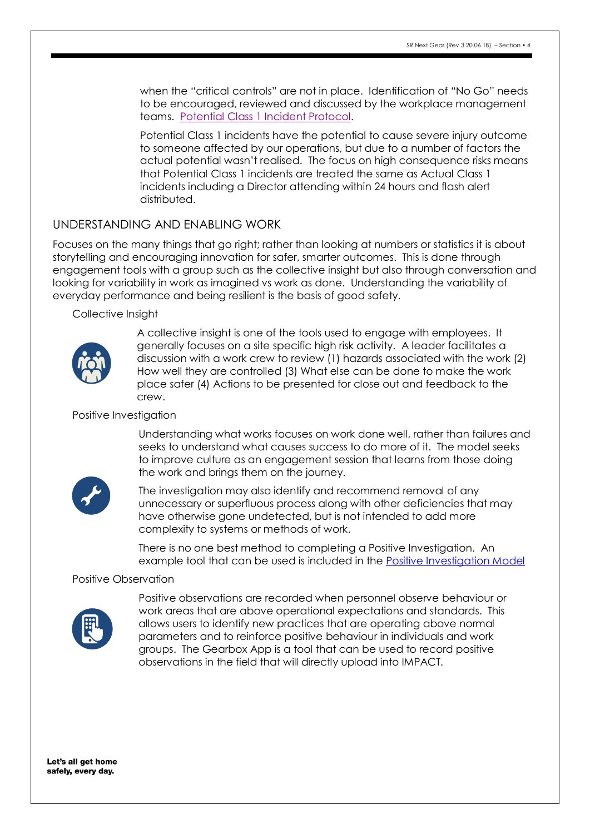when the "critical controls" are not in place. Identification of "No Go" needs to be encouraged, reviewed and discussed by the workplace management teams. [Potential Class 1 Incident Protocol.](https://sso.laingorourke.com.au/nextgearsms/redirectto?igateurl=http://igate.web/Processes/AUS-Processes/Core%20Process/C-T-8-0918b%20Class%20I%20Incident_A3%20poster.pdf)

Potential Class 1 incidents have the potential to cause severe injury outcome to someone affected by our operations, but due to a number of factors the actual potential wasn't realised. The focus on high consequence risks means that Potential Class 1 incidents are treated the same as Actual Class 1 incidents including a Director attending within 24 hours and flash alert distributed.

#### UNDERSTANDING AND ENABLING WORK

Focuses on the many things that go right; rather than looking at numbers or statistics it is about storytelling and encouraging innovation for safer, smarter outcomes. This is done through engagement tools with a group such as the collective insight but also through conversation and looking for variability in work as imagined vs work as done. Understanding the variability of everyday performance and being resilient is the basis of good safety.

Collective Insight



A collective insight is one of the tools used to engage with employees. It generally focuses on a site specific high risk activity. A leader facilitates a discussion with a work crew to review (1) hazards associated with the work (2) How well they are controlled (3) What else can be done to make the work place safer (4) Actions to be presented for close out and feedback to the crew.

#### Positive Investigation

Understanding what works focuses on work done well, rather than failures and seeks to understand what causes success to do more of it. The model seeks to improve culture as an engagement session that learns from those doing the work and brings them on the journey.



The investigation may also identify and recommend removal of any unnecessary or superfluous process along with other deficiencies that may have otherwise gone undetected, but is not intended to add more complexity to systems or methods of work.

There is no one best method to completing a Positive Investigation. An example tool that can be used is included in the [Positive Investigation Model](https://www.nextgearsms.com/wp-content/uploads/Positive-Investigations-Guidance.pdf)

#### Positive Observation



Positive observations are recorded when personnel observe behaviour or work areas that are above operational expectations and standards. This allows users to identify new practices that are operating above normal parameters and to reinforce positive behaviour in individuals and work groups. The Gearbox App is a tool that can be used to record positive observations in the field that will directly upload into IMPACT.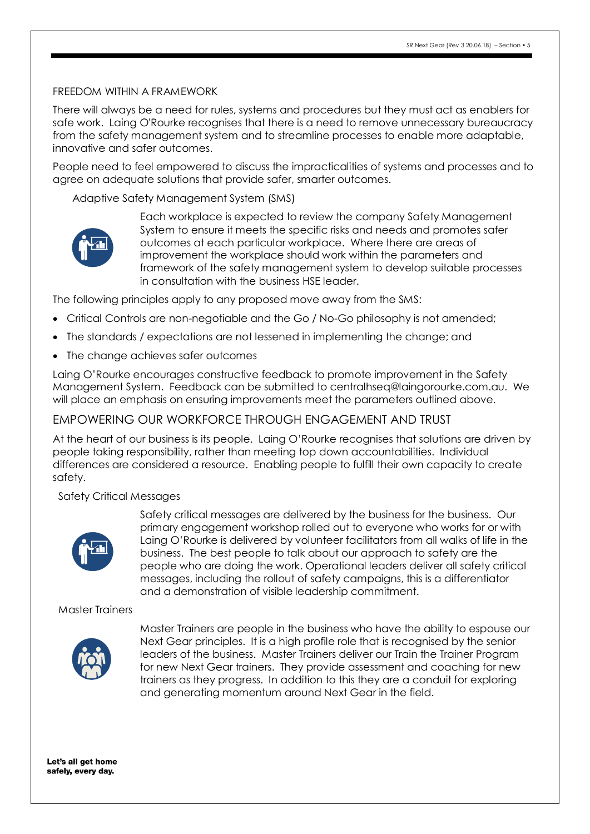#### FREEDOM WITHIN A FRAMEWORK

There will always be a need for rules, systems and procedures but they must act as enablers for safe work. Laing O'Rourke recognises that there is a need to remove unnecessary bureaucracy from the safety management system and to streamline processes to enable more adaptable, innovative and safer outcomes.

People need to feel empowered to discuss the impracticalities of systems and processes and to agree on adequate solutions that provide safer, smarter outcomes.

Adaptive Safety Management System (SMS)



Each workplace is expected to review the company Safety Management System to ensure it meets the specific risks and needs and promotes safer outcomes at each particular workplace. Where there are areas of improvement the workplace should work within the parameters and framework of the safety management system to develop suitable processes in consultation with the business HSE leader.

The following principles apply to any proposed move away from the SMS:

- Critical Controls are non-negotiable and the Go / No-Go philosophy is not amended;
- The standards / expectations are not lessened in implementing the change; and
- The change achieves safer outcomes

Laing O'Rourke encourages constructive feedback to promote improvement in the Safety Management System. Feedback can be submitted to centralhseq@laingorourke.com.au. We will place an emphasis on ensuring improvements meet the parameters outlined above.

#### EMPOWERING OUR WORKFORCE THROUGH ENGAGEMENT AND TRUST

At the heart of our business is its people. Laing O'Rourke recognises that solutions are driven by people taking responsibility, rather than meeting top down accountabilities. Individual differences are considered a resource. Enabling people to fulfill their own capacity to create safety.

#### Safety Critical Messages



Safety critical messages are delivered by the business for the business. Our primary engagement workshop rolled out to everyone who works for or with Laing O'Rourke is delivered by volunteer facilitators from all walks of life in the business. The best people to talk about our approach to safety are the people who are doing the work. Operational leaders deliver all safety critical messages, including the rollout of safety campaigns, this is a differentiator and a demonstration of visible leadership commitment.

#### Master Trainers



Master Trainers are people in the business who have the ability to espouse our Next Gear principles. It is a high profile role that is recognised by the senior leaders of the business. Master Trainers deliver our Train the Trainer Program for new Next Gear trainers. They provide assessment and coaching for new trainers as they progress. In addition to this they are a conduit for exploring and generating momentum around Next Gear in the field.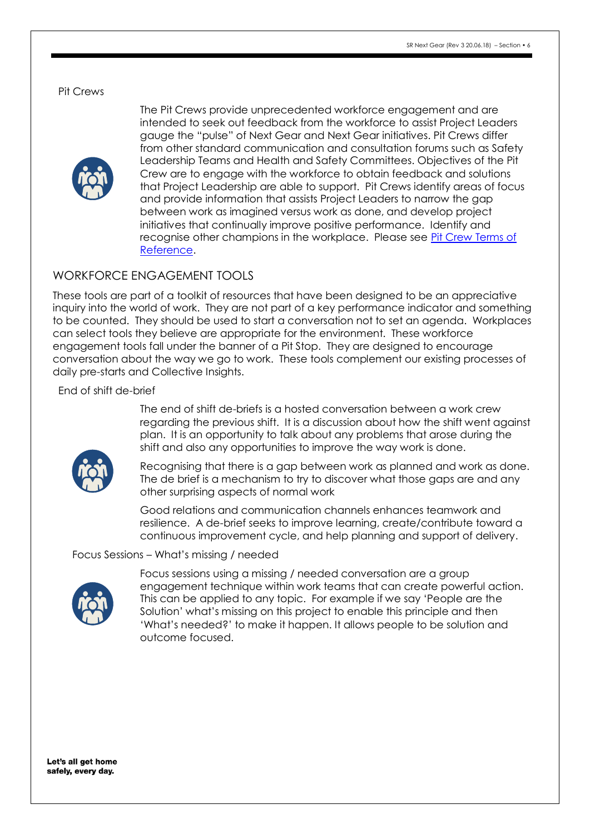#### Pit Crews



The Pit Crews provide unprecedented workforce engagement and are intended to seek out feedback from the workforce to assist Project Leaders gauge the "pulse" of Next Gear and Next Gear initiatives. Pit Crews differ from other standard communication and consultation forums such as Safety Leadership Teams and Health and Safety Committees. Objectives of the Pit Crew are to engage with the workforce to obtain feedback and solutions that Project Leadership are able to support. Pit Crews identify areas of focus and provide information that assists Project Leaders to narrow the gap between work as imagined versus work as done, and develop project initiatives that continually improve positive performance. Identify and recognise other champions in the workplace. Please see [Pit Crew Terms of](https://www.nextgearsms.com/wp-content/uploads/Pit-Crew-Terms-of-Reference.pdf)  [Reference.](https://www.nextgearsms.com/wp-content/uploads/Pit-Crew-Terms-of-Reference.pdf)

#### WORKFORCE ENGAGEMENT TOOLS

These tools are part of a [toolkit](https://nextgearsmsdotcom.files.wordpress.com/2016/05/workforce-engagement-tools-rev-3-27-5-16.pdf) of resources that have been designed to be an appreciative inquiry into the world of work. They are not part of a key performance indicator and something to be counted. They should be used to start a conversation not to set an agenda. Workplaces can select tools they believe are appropriate for the environment. These workforce engagement tools fall under the banner of a Pit Stop. They are designed to encourage conversation about the way we go to work. These tools complement our existing processes of daily pre-starts and Collective Insights.

End of shift de-brief



The end of shift de-briefs is a hosted conversation between a work crew regarding the previous shift. It is a discussion about how the shift went against plan. It is an opportunity to talk about any problems that arose during the shift and also any opportunities to improve the way work is done.

Recognising that there is a gap between work as planned and work as done. The de brief is a mechanism to try to discover what those gaps are and any other surprising aspects of normal work

Good relations and communication channels enhances teamwork and resilience. A de-brief seeks to improve learning, create/contribute toward a continuous improvement cycle, and help planning and support of delivery.

#### Focus Sessions – What's missing / needed



Focus sessions using a missing / needed conversation are a group engagement technique within work teams that can create powerful action. This can be applied to any topic. For example if we say 'People are the Solution' what's missing on this project to enable this principle and then 'What's needed?' to make it happen. It allows people to be solution and outcome focused.